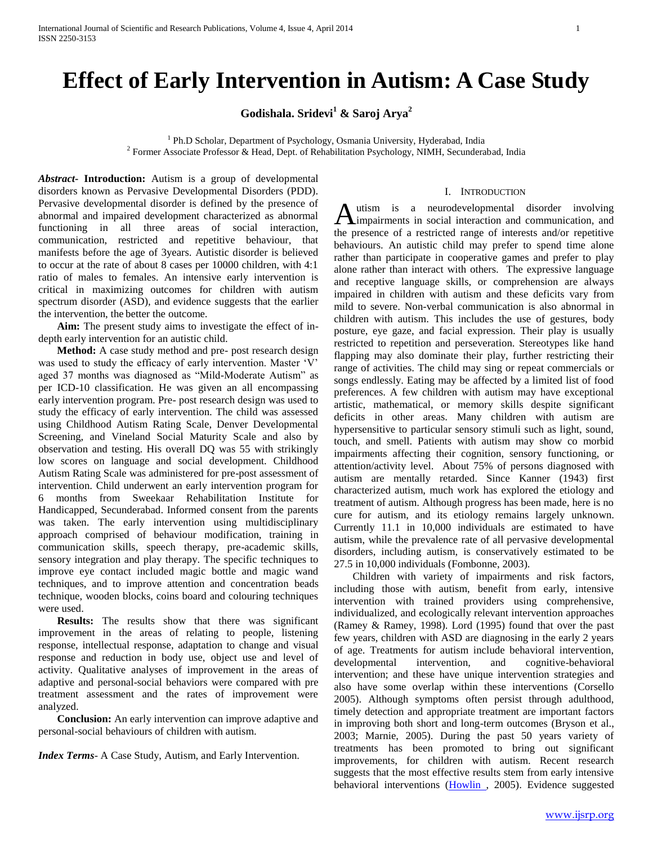# **Effect of Early Intervention in Autism: A Case Study**

**Godishala. Sridevi<sup>1</sup> & Saroj Arya<sup>2</sup>**

<sup>1</sup> Ph.D Scholar, Department of Psychology, Osmania University, Hyderabad, India <sup>2</sup> Former Associate Professor & Head, Dept. of Rehabilitation Psychology, NIMH, Secunderabad, India

*Abstract***- Introduction:** Autism is a group of developmental disorders known as Pervasive Developmental Disorders (PDD). Pervasive developmental disorder is defined by the presence of abnormal and impaired development characterized as abnormal functioning in all three areas of social interaction, communication, restricted and repetitive behaviour, that manifests before the age of 3years. Autistic disorder is believed to occur at the rate of about 8 cases per 10000 children, with 4:1 ratio of males to females. An intensive early intervention is critical in maximizing outcomes for children with autism spectrum disorder (ASD), and evidence suggests that the earlier the intervention, the better the outcome.

 **Aim:** The present study aims to investigate the effect of indepth early intervention for an autistic child.

 **Method:** A case study method and pre- post research design was used to study the efficacy of early intervention. Master 'V' aged 37 months was diagnosed as "Mild-Moderate Autism" as per ICD-10 classification. He was given an all encompassing early intervention program. Pre- post research design was used to study the efficacy of early intervention. The child was assessed using Childhood Autism Rating Scale, Denver Developmental Screening, and Vineland Social Maturity Scale and also by observation and testing. His overall DQ was 55 with strikingly low scores on language and social development. Childhood Autism Rating Scale was administered for pre-post assessment of intervention. Child underwent an early intervention program for 6 months from Sweekaar Rehabilitation Institute for Handicapped, Secunderabad. Informed consent from the parents was taken. The early intervention using multidisciplinary approach comprised of behaviour modification, training in communication skills, speech therapy, pre-academic skills, sensory integration and play therapy. The specific techniques to improve eye contact included magic bottle and magic wand techniques, and to improve attention and concentration beads technique, wooden blocks, coins board and colouring techniques were used.

 **Results:** The results show that there was significant improvement in the areas of relating to people, listening response, intellectual response, adaptation to change and visual response and reduction in body use, object use and level of activity. Qualitative analyses of improvement in the areas of adaptive and personal-social behaviors were compared with pre treatment assessment and the rates of improvement were analyzed.

 **Conclusion:** An early intervention can improve adaptive and personal-social behaviours of children with autism.

*Index Terms*- A Case Study, Autism, and Early Intervention.

#### I. INTRODUCTION

utism is a neurodevelopmental disorder involving Autism is a neurodevelopmental disorder involving<br>
impairments in social interaction and communication, and the presence of a restricted range of interests and/or repetitive behaviours. An autistic child may prefer to spend time alone rather than participate in cooperative games and prefer to play alone rather than interact with others. The expressive language and receptive language skills, or comprehension are always impaired in children with autism and these deficits vary from mild to severe. Non-verbal communication is also abnormal in children with autism. This includes the use of gestures, body posture, eye gaze, and facial expression. Their play is usually restricted to repetition and perseveration. Stereotypes like hand flapping may also dominate their play, further restricting their range of activities. The child may sing or repeat commercials or songs endlessly. Eating may be affected by a limited list of food preferences. A few children with autism may have exceptional artistic, mathematical, or memory skills despite significant deficits in other areas. Many children with autism are hypersensitive to particular sensory stimuli such as light, sound, touch, and smell. Patients with autism may show co morbid impairments affecting their cognition, sensory functioning, or attention/activity level. About 75% of persons diagnosed with autism are mentally retarded. Since Kanner (1943) first characterized autism, much work has explored the etiology and treatment of autism. Although progress has been made, here is no cure for autism, and its etiology remains largely unknown. Currently 11.1 in 10,000 individuals are estimated to have autism, while the prevalence rate of all pervasive developmental disorders, including autism, is conservatively estimated to be 27.5 in 10,000 individuals (Fombonne, 2003).

 Children with variety of impairments and risk factors, including those with autism, benefit from early, intensive intervention with trained providers using comprehensive, individualized, and ecologically relevant intervention approaches (Ramey & Ramey, 1998). Lord (1995) found that over the past few years, children with ASD are diagnosing in the early 2 years of age. Treatments for autism include behavioral intervention, developmental intervention, and cognitive-behavioral intervention; and these have unique intervention strategies and also have some overlap within these interventions (Corsello 2005). Although symptoms often persist through adulthood, timely detection and appropriate treatment are important factors in improving both short and long-term outcomes (Bryson et al., 2003; Marnie, 2005). During the past 50 years variety of treatments has been promoted to bring out significant improvements, for children with autism. Recent research suggests that the most effective results stem from early intensive behavioral interventions [\(Howlin ,](http://www.ncbi.nlm.nih.gov/sites/entrez?Db=pubmed&Cmd=Search&Term=%22Howlin%20P%22%5BAuthor%5D&itool=EntrezSystem2.PEntrez.Pubmed.Pubmed_ResultsPanel.Pubmed_DiscoveryPanel.Pubmed_RVAbstractPlus) 2005). Evidence suggested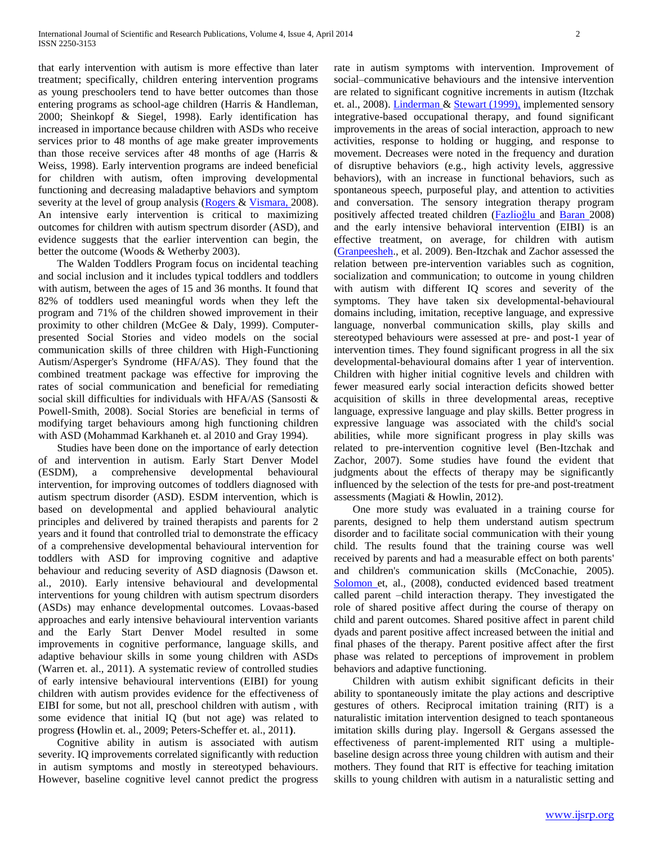that early intervention with autism is more effective than later treatment; specifically, children entering intervention programs as young preschoolers tend to have better outcomes than those entering programs as school-age children (Harris & Handleman, 2000; Sheinkopf & Siegel, 1998). Early identification has increased in importance because children with ASDs who receive services prior to 48 months of age make greater improvements than those receive services after 48 months of age (Harris & Weiss, 1998). Early intervention programs are indeed beneficial for children with autism, often improving developmental functioning and decreasing maladaptive behaviors and symptom severity at the level of group analysis [\(Rogers &](http://www.ncbi.nlm.nih.gov/sites/entrez?Db=pubmed&Cmd=Search&Term=%22Rogers%20SJ%22%5BAuthor%5D&itool=EntrezSystem2.PEntrez.Pubmed.Pubmed_ResultsPanel.Pubmed_DiscoveryPanel.Pubmed_RVAbstractPlus) [Vismara, 2](http://www.ncbi.nlm.nih.gov/sites/entrez?Db=pubmed&Cmd=Search&Term=%22Vismara%20LA%22%5BAuthor%5D&itool=EntrezSystem2.PEntrez.Pubmed.Pubmed_ResultsPanel.Pubmed_DiscoveryPanel.Pubmed_RVAbstractPlus)008). An intensive early intervention is critical to maximizing outcomes for children with autism spectrum disorder (ASD), and evidence suggests that the earlier intervention can begin, the better the outcome (Woods & Wetherby 2003).

 The Walden Toddlers Program focus on incidental teaching and social inclusion and it includes typical toddlers and toddlers with autism, between the ages of 15 and 36 months. It found that 82% of toddlers used meaningful words when they left the program and 71% of the children showed improvement in their proximity to other children (McGee & Daly, 1999). Computerpresented Social Stories and video models on the social communication skills of three children with High-Functioning Autism/Asperger's Syndrome (HFA/AS). They found that the combined treatment package was effective for improving the rates of social communication and beneficial for remediating social skill difficulties for individuals with HFA/AS (Sansosti & Powell-Smith, 2008). Social Stories are beneficial in terms of modifying target behaviours among high functioning children with ASD (Mohammad Karkhaneh et. al 2010 and Gray 1994).

 Studies have been done on the importance of early detection of and intervention in autism. Early Start Denver Model (ESDM), a comprehensive developmental behavioural intervention, for improving outcomes of toddlers diagnosed with autism spectrum disorder (ASD). ESDM intervention, which is based on developmental and applied behavioural analytic principles and delivered by trained therapists and parents for 2 years and it found that controlled trial to demonstrate the efficacy of a comprehensive developmental behavioural intervention for toddlers with ASD for improving cognitive and adaptive behaviour and reducing severity of ASD diagnosis (Dawson et. al., 2010). Early intensive behavioural and developmental interventions for young children with autism spectrum disorders (ASDs) may enhance developmental outcomes. Lovaas-based approaches and early intensive behavioural intervention variants and the Early Start Denver Model resulted in some improvements in cognitive performance, language skills, and adaptive behaviour skills in some young children with ASDs (Warren et. al., 2011). A systematic review of controlled studies of early intensive behavioural interventions (EIBI) for young children with autism provides evidence for the effectiveness of EIBI for some, but not all, preschool children with autism , with some evidence that initial IQ (but not age) was related to progress **(**Howlin et. al., 2009; Peters-Scheffer et. al., 2011**)**.

 Cognitive ability in autism is associated with autism severity. IQ improvements correlated significantly with reduction in autism symptoms and mostly in stereotyped behaviours. However, baseline cognitive level cannot predict the progress

rate in autism symptoms with intervention. Improvement of social–communicative behaviours and the intensive intervention are related to significant cognitive increments in autism (Itzchak et. al., 2008). **Linderman & Stewart (1999)**, implemented sensory integrative-based occupational therapy, and found significant improvements in the areas of social interaction, approach to new activities, response to holding or hugging, and response to movement. Decreases were noted in the frequency and duration of disruptive behaviors (e.g., high activity levels, aggressive behaviors), with an increase in functional behaviors, such as spontaneous speech, purposeful play, and attention to activities and conversation. The sensory integration therapy program positively affected treated children [\(Fazlioğlu a](http://www.ncbi.nlm.nih.gov/sites/entrez?Db=pubmed&Cmd=Search&Term=%22Fazlio%C4%9Flu%20Y%22%5BAuthor%5D&itool=EntrezSystem2.PEntrez.Pubmed.Pubmed_ResultsPanel.Pubmed_DiscoveryPanel.Pubmed_RVAbstractPlus)nd [Baran 2](http://www.ncbi.nlm.nih.gov/sites/entrez?Db=pubmed&Cmd=Search&Term=%22Baran%20G%22%5BAuthor%5D&itool=EntrezSystem2.PEntrez.Pubmed.Pubmed_ResultsPanel.Pubmed_DiscoveryPanel.Pubmed_RVAbstractPlus)008) and the early intensive behavioral intervention (EIBI) is an effective treatment, on average, for children with autism [\(Granpeesheh.](http://www.researchgate.net/researcher/24728657_Doreen_Granpeesheh), et al. 2009). Ben-Itzchak and Zachor assessed the relation between pre-intervention variables such as cognition, socialization and communication; to outcome in young children with autism with different IQ scores and severity of the symptoms. They have taken six developmental-behavioural domains including, imitation, receptive language, and expressive language, nonverbal communication skills, play skills and stereotyped behaviours were assessed at pre- and post-1 year of intervention times. They found significant progress in all the six developmental-behavioural domains after 1 year of intervention. Children with higher initial cognitive levels and children with fewer measured early social interaction deficits showed better acquisition of skills in three developmental areas, receptive language, expressive language and play skills. Better progress in expressive language was associated with the child's social abilities, while more significant progress in play skills was related to pre-intervention cognitive level (Ben-Itzchak and Zachor, 2007). Some studies have found the evident that judgments about the effects of therapy may be significantly influenced by the selection of the tests for pre-and post-treatment assessments (Magiati & Howlin, 2012).

 One more study was evaluated in a training course for parents, designed to help them understand autism spectrum disorder and to facilitate social communication with their young child. The results found that the training course was well received by parents and had a measurable effect on both parents' and children's communication skills (McConachie, 2005). [Solomon e](http://www.ncbi.nlm.nih.gov/sites/entrez?Db=pubmed&Cmd=Search&Term=%22Solomon%20M%22%5BAuthor%5D&itool=EntrezSystem2.PEntrez.Pubmed.Pubmed_ResultsPanel.Pubmed_DiscoveryPanel.Pubmed_RVAbstractPlus)t, al., (2008), conducted evidenced based treatment called parent –child interaction therapy. They investigated the role of shared positive affect during the course of therapy on child and parent outcomes. Shared positive affect in parent child dyads and parent positive affect increased between the initial and final phases of the therapy. Parent positive affect after the first phase was related to perceptions of improvement in problem behaviors and adaptive functioning.

 Children with autism exhibit significant deficits in their ability to spontaneously imitate the play actions and descriptive gestures of others. Reciprocal imitation training (RIT) is a naturalistic imitation intervention designed to teach spontaneous imitation skills during play. Ingersoll & Gergans assessed the effectiveness of parent-implemented RIT using a multiplebaseline design across three young children with autism and their mothers. They found that RIT is effective for teaching imitation skills to young children with autism in a naturalistic setting and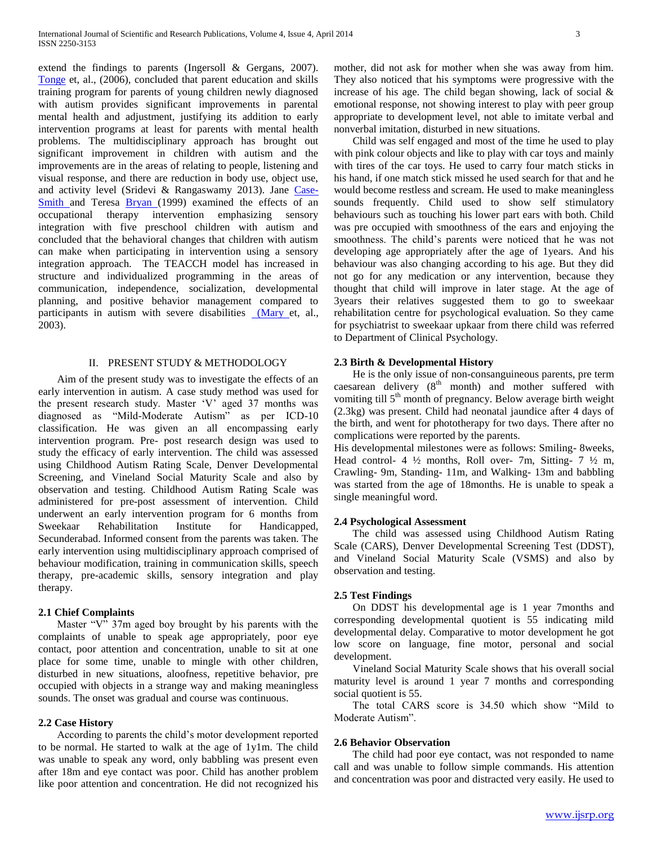extend the findings to parents (Ingersoll & Gergans, 2007). [Tonge](http://www.ncbi.nlm.nih.gov/sites/entrez?Db=pubmed&Cmd=Search&Term=%22Tonge%20B%22%5BAuthor%5D&itool=EntrezSystem2.PEntrez.Pubmed.Pubmed_ResultsPanel.Pubmed_DiscoveryPanel.Pubmed_RVAbstractPlus) et, al., (2006), concluded that parent education and skills training program for parents of young children newly diagnosed with autism provides significant improvements in parental mental health and adjustment, justifying its addition to early intervention programs at least for parents with mental health problems. The multidisciplinary approach has brought out significant improvement in children with autism and the improvements are in the areas of relating to people, listening and visual response, and there are reduction in body use, object use, and activity level (Sridevi & Rangaswamy 2013). Jane [Case-](http://www.ncbi.nlm.nih.gov/sites/entrez?Db=pubmed&Cmd=Search&Term=%22Case-Smith%20J%22%5BAuthor%5D&itool=EntrezSystem2.PEntrez.Pubmed.Pubmed_ResultsPanel.Pubmed_DiscoveryPanel.Pubmed_RVAbstractPlus)[Smith a](http://www.ncbi.nlm.nih.gov/sites/entrez?Db=pubmed&Cmd=Search&Term=%22Case-Smith%20J%22%5BAuthor%5D&itool=EntrezSystem2.PEntrez.Pubmed.Pubmed_ResultsPanel.Pubmed_DiscoveryPanel.Pubmed_RVAbstractPlus)nd Teresa [Bryan \(](http://www.ncbi.nlm.nih.gov/sites/entrez?Db=pubmed&Cmd=Search&Term=%22Bryan%20T%22%5BAuthor%5D&itool=EntrezSystem2.PEntrez.Pubmed.Pubmed_ResultsPanel.Pubmed_DiscoveryPanel.Pubmed_RVAbstractPlus)1999) examined the effects of an occupational therapy intervention emphasizing sensory integration with five preschool children with autism and concluded that the behavioral changes that children with autism can make when participating in intervention using a sensory integration approach. The TEACCH model has increased in structure and individualized programming in the areas of communication, independence, socialization, developmental planning, and positive behavior management compared to participants in autism with severe disabilities [\(Mary e](http://www.ncbi.nlm.nih.gov/sites/entrez?Db=pubmed&Cmd=Search&Term=%22Van%20Bourgondien%20ME%22%5BAuthor%5D&itool=EntrezSystem2.PEntrez.Pubmed.Pubmed_ResultsPanel.Pubmed_DiscoveryPanel.Pubmed_RVAbstractPlus)t, al., 2003).

## II. PRESENT STUDY & METHODOLOGY

 Aim of the present study was to investigate the effects of an early intervention in autism. A case study method was used for the present research study. Master 'V' aged 37 months was diagnosed as "Mild-Moderate Autism" as per ICD-10 classification. He was given an all encompassing early intervention program. Pre- post research design was used to study the efficacy of early intervention. The child was assessed using Childhood Autism Rating Scale, Denver Developmental Screening, and Vineland Social Maturity Scale and also by observation and testing. Childhood Autism Rating Scale was administered for pre-post assessment of intervention. Child underwent an early intervention program for 6 months from Sweekaar Rehabilitation Institute for Handicapped, Secunderabad. Informed consent from the parents was taken. The early intervention using multidisciplinary approach comprised of behaviour modification, training in communication skills, speech therapy, pre-academic skills, sensory integration and play therapy.

## **2.1 Chief Complaints**

 Master "V" 37m aged boy brought by his parents with the complaints of unable to speak age appropriately, poor eye contact, poor attention and concentration, unable to sit at one place for some time, unable to mingle with other children, disturbed in new situations, aloofness, repetitive behavior, pre occupied with objects in a strange way and making meaningless sounds. The onset was gradual and course was continuous.

#### **2.2 Case History**

 According to parents the child's motor development reported to be normal. He started to walk at the age of 1y1m. The child was unable to speak any word, only babbling was present even after 18m and eye contact was poor. Child has another problem like poor attention and concentration. He did not recognized his mother, did not ask for mother when she was away from him. They also noticed that his symptoms were progressive with the increase of his age. The child began showing, lack of social  $\&$ emotional response, not showing interest to play with peer group appropriate to development level, not able to imitate verbal and nonverbal imitation, disturbed in new situations.

 Child was self engaged and most of the time he used to play with pink colour objects and like to play with car toys and mainly with tires of the car toys. He used to carry four match sticks in his hand, if one match stick missed he used search for that and he would become restless and scream. He used to make meaningless sounds frequently. Child used to show self stimulatory behaviours such as touching his lower part ears with both. Child was pre occupied with smoothness of the ears and enjoying the smoothness. The child's parents were noticed that he was not developing age appropriately after the age of 1years. And his behaviour was also changing according to his age. But they did not go for any medication or any intervention, because they thought that child will improve in later stage. At the age of 3years their relatives suggested them to go to sweekaar rehabilitation centre for psychological evaluation. So they came for psychiatrist to sweekaar upkaar from there child was referred to Department of Clinical Psychology.

## **2.3 Birth & Developmental History**

 He is the only issue of non-consanguineous parents, pre term caesarean delivery  $(8<sup>th</sup>$  month) and mother suffered with vomiting till  $5<sup>th</sup>$  month of pregnancy. Below average birth weight (2.3kg) was present. Child had neonatal jaundice after 4 days of the birth, and went for phototherapy for two days. There after no complications were reported by the parents.

His developmental milestones were as follows: Smiling- 8weeks, Head control- 4  $\frac{1}{2}$  months, Roll over- 7m, Sitting- 7  $\frac{1}{2}$  m, Crawling- 9m, Standing- 11m, and Walking- 13m and babbling was started from the age of 18months. He is unable to speak a single meaningful word.

## **2.4 Psychological Assessment**

 The child was assessed using Childhood Autism Rating Scale (CARS), Denver Developmental Screening Test (DDST), and Vineland Social Maturity Scale (VSMS) and also by observation and testing.

## **2.5 Test Findings**

 On DDST his developmental age is 1 year 7months and corresponding developmental quotient is 55 indicating mild developmental delay. Comparative to motor development he got low score on language, fine motor, personal and social development.

 Vineland Social Maturity Scale shows that his overall social maturity level is around 1 year 7 months and corresponding social quotient is 55.

 The total CARS score is 34.50 which show "Mild to Moderate Autism".

#### **2.6 Behavior Observation**

 The child had poor eye contact, was not responded to name call and was unable to follow simple commands. His attention and concentration was poor and distracted very easily. He used to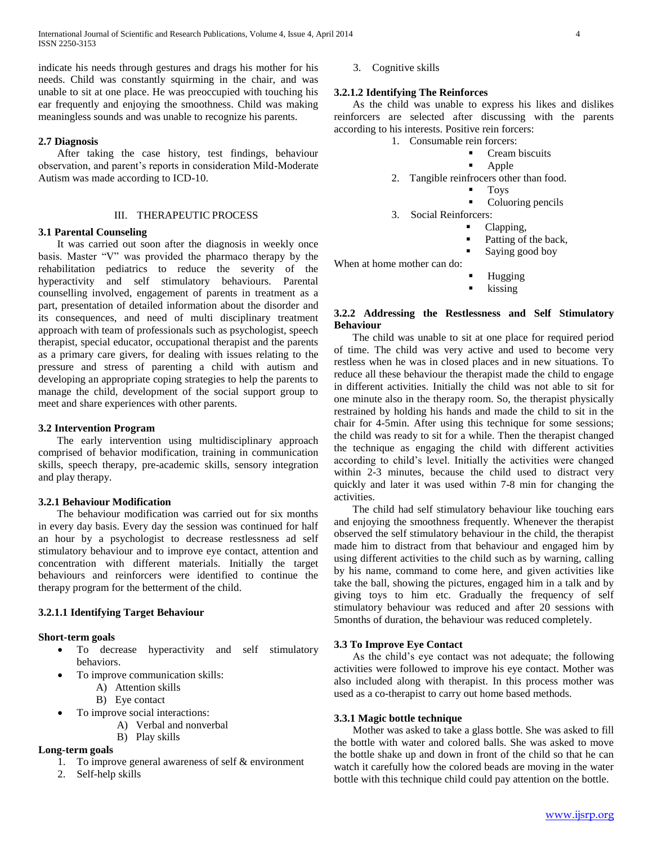International Journal of Scientific and Research Publications, Volume 4, Issue 4, April 2014 4 ISSN 2250-3153

indicate his needs through gestures and drags his mother for his needs. Child was constantly squirming in the chair, and was unable to sit at one place. He was preoccupied with touching his ear frequently and enjoying the smoothness. Child was making meaningless sounds and was unable to recognize his parents.

# **2.7 Diagnosis**

 After taking the case history, test findings, behaviour observation, and parent's reports in consideration Mild-Moderate Autism was made according to ICD-10.

# III. THERAPEUTIC PROCESS

#### **3.1 Parental Counseling**

 It was carried out soon after the diagnosis in weekly once basis. Master "V" was provided the pharmaco therapy by the rehabilitation pediatrics to reduce the severity of the hyperactivity and self stimulatory behaviours. Parental counselling involved, engagement of parents in treatment as a part, presentation of detailed information about the disorder and its consequences, and need of multi disciplinary treatment approach with team of professionals such as psychologist, speech therapist, special educator, occupational therapist and the parents as a primary care givers, for dealing with issues relating to the pressure and stress of parenting a child with autism and developing an appropriate coping strategies to help the parents to manage the child, development of the social support group to meet and share experiences with other parents.

## **3.2 Intervention Program**

 The early intervention using multidisciplinary approach comprised of behavior modification, training in communication skills, speech therapy, pre-academic skills, sensory integration and play therapy.

#### **3.2.1 Behaviour Modification**

 The behaviour modification was carried out for six months in every day basis. Every day the session was continued for half an hour by a psychologist to decrease restlessness ad self stimulatory behaviour and to improve eye contact, attention and concentration with different materials. Initially the target behaviours and reinforcers were identified to continue the therapy program for the betterment of the child.

#### **3.2.1.1 Identifying Target Behaviour**

#### **Short-term goals**

- To decrease hyperactivity and self stimulatory behaviors.
- To improve communication skills:
	- A) Attention skills
		- B) Eye contact
	- To improve social interactions:
		- A) Verbal and nonverbal
		- B) Play skills

# **Long-term goals**

- 1. To improve general awareness of self & environment
- 2. Self-help skills

3. Cognitive skills

#### **3.2.1.2 Identifying The Reinforces**

 As the child was unable to express his likes and dislikes reinforcers are selected after discussing with the parents according to his interests. Positive rein forcers:

- 1. Consumable rein forcers:
	- Cream biscuits
		- Apple
- 2. Tangible reinfrocers other than food.
	- Toys
	- Coluoring pencils
- 3. Social Reinforcers:
	- Clapping,
	- Patting of the back,
	- Saying good boy
- When at home mother can do:
	- Hugging
	- kissing

# **3.2.2 Addressing the Restlessness and Self Stimulatory Behaviour**

 The child was unable to sit at one place for required period of time. The child was very active and used to become very restless when he was in closed places and in new situations. To reduce all these behaviour the therapist made the child to engage in different activities. Initially the child was not able to sit for one minute also in the therapy room. So, the therapist physically restrained by holding his hands and made the child to sit in the chair for 4-5min. After using this technique for some sessions; the child was ready to sit for a while. Then the therapist changed the technique as engaging the child with different activities according to child's level. Initially the activities were changed within 2-3 minutes, because the child used to distract very quickly and later it was used within 7-8 min for changing the activities.

 The child had self stimulatory behaviour like touching ears and enjoying the smoothness frequently. Whenever the therapist observed the self stimulatory behaviour in the child, the therapist made him to distract from that behaviour and engaged him by using different activities to the child such as by warning, calling by his name, command to come here, and given activities like take the ball, showing the pictures, engaged him in a talk and by giving toys to him etc. Gradually the frequency of self stimulatory behaviour was reduced and after 20 sessions with 5months of duration, the behaviour was reduced completely.

#### **3.3 To Improve Eye Contact**

 As the child's eye contact was not adequate; the following activities were followed to improve his eye contact. Mother was also included along with therapist. In this process mother was used as a co-therapist to carry out home based methods.

#### **3.3.1 Magic bottle technique**

 Mother was asked to take a glass bottle. She was asked to fill the bottle with water and colored balls. She was asked to move the bottle shake up and down in front of the child so that he can watch it carefully how the colored beads are moving in the water bottle with this technique child could pay attention on the bottle.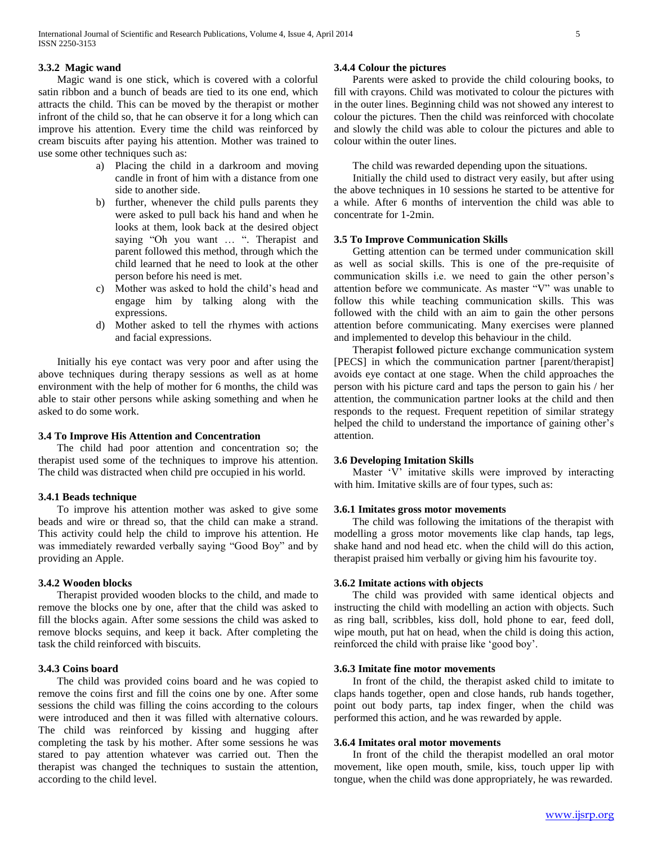# **3.3.2 Magic wand**

 Magic wand is one stick, which is covered with a colorful satin ribbon and a bunch of beads are tied to its one end, which attracts the child. This can be moved by the therapist or mother infront of the child so, that he can observe it for a long which can improve his attention. Every time the child was reinforced by cream biscuits after paying his attention. Mother was trained to use some other techniques such as:

- a) Placing the child in a darkroom and moving candle in front of him with a distance from one side to another side.
- b) further, whenever the child pulls parents they were asked to pull back his hand and when he looks at them, look back at the desired object saying "Oh you want ... ". Therapist and parent followed this method, through which the child learned that he need to look at the other person before his need is met.
- c) Mother was asked to hold the child's head and engage him by talking along with the expressions.
- d) Mother asked to tell the rhymes with actions and facial expressions.

 Initially his eye contact was very poor and after using the above techniques during therapy sessions as well as at home environment with the help of mother for 6 months, the child was able to stair other persons while asking something and when he asked to do some work.

#### **3.4 To Improve His Attention and Concentration**

 The child had poor attention and concentration so; the therapist used some of the techniques to improve his attention. The child was distracted when child pre occupied in his world.

### **3.4.1 Beads technique**

 To improve his attention mother was asked to give some beads and wire or thread so, that the child can make a strand. This activity could help the child to improve his attention. He was immediately rewarded verbally saying "Good Boy" and by providing an Apple.

#### **3.4.2 Wooden blocks**

 Therapist provided wooden blocks to the child, and made to remove the blocks one by one, after that the child was asked to fill the blocks again. After some sessions the child was asked to remove blocks sequins, and keep it back. After completing the task the child reinforced with biscuits.

# **3.4.3 Coins board**

 The child was provided coins board and he was copied to remove the coins first and fill the coins one by one. After some sessions the child was filling the coins according to the colours were introduced and then it was filled with alternative colours. The child was reinforced by kissing and hugging after completing the task by his mother. After some sessions he was stared to pay attention whatever was carried out. Then the therapist was changed the techniques to sustain the attention, according to the child level.

## **3.4.4 Colour the pictures**

 Parents were asked to provide the child colouring books, to fill with crayons. Child was motivated to colour the pictures with in the outer lines. Beginning child was not showed any interest to colour the pictures. Then the child was reinforced with chocolate and slowly the child was able to colour the pictures and able to colour within the outer lines.

The child was rewarded depending upon the situations.

 Initially the child used to distract very easily, but after using the above techniques in 10 sessions he started to be attentive for a while. After 6 months of intervention the child was able to concentrate for 1-2min.

# **3.5 To Improve Communication Skills**

 Getting attention can be termed under communication skill as well as social skills. This is one of the pre-requisite of communication skills i.e. we need to gain the other person's attention before we communicate. As master "V" was unable to follow this while teaching communication skills. This was followed with the child with an aim to gain the other persons attention before communicating. Many exercises were planned and implemented to develop this behaviour in the child.

 Therapist **f**ollowed picture exchange communication system [PECS] in which the communication partner [parent/therapist] avoids eye contact at one stage. When the child approaches the person with his picture card and taps the person to gain his / her attention, the communication partner looks at the child and then responds to the request. Frequent repetition of similar strategy helped the child to understand the importance of gaining other's attention.

#### **3.6 Developing Imitation Skills**

 Master 'V' imitative skills were improved by interacting with him. Imitative skills are of four types, such as:

#### **3.6.1 Imitates gross motor movements**

 The child was following the imitations of the therapist with modelling a gross motor movements like clap hands, tap legs, shake hand and nod head etc. when the child will do this action, therapist praised him verbally or giving him his favourite toy.

#### **3.6.2 Imitate actions with objects**

 The child was provided with same identical objects and instructing the child with modelling an action with objects. Such as ring ball, scribbles, kiss doll, hold phone to ear, feed doll, wipe mouth, put hat on head, when the child is doing this action, reinforced the child with praise like 'good boy'.

# **3.6.3 Imitate fine motor movements**

 In front of the child, the therapist asked child to imitate to claps hands together, open and close hands, rub hands together, point out body parts, tap index finger, when the child was performed this action, and he was rewarded by apple.

#### **3.6.4 Imitates oral motor movements**

 In front of the child the therapist modelled an oral motor movement, like open mouth, smile, kiss, touch upper lip with tongue, when the child was done appropriately, he was rewarded.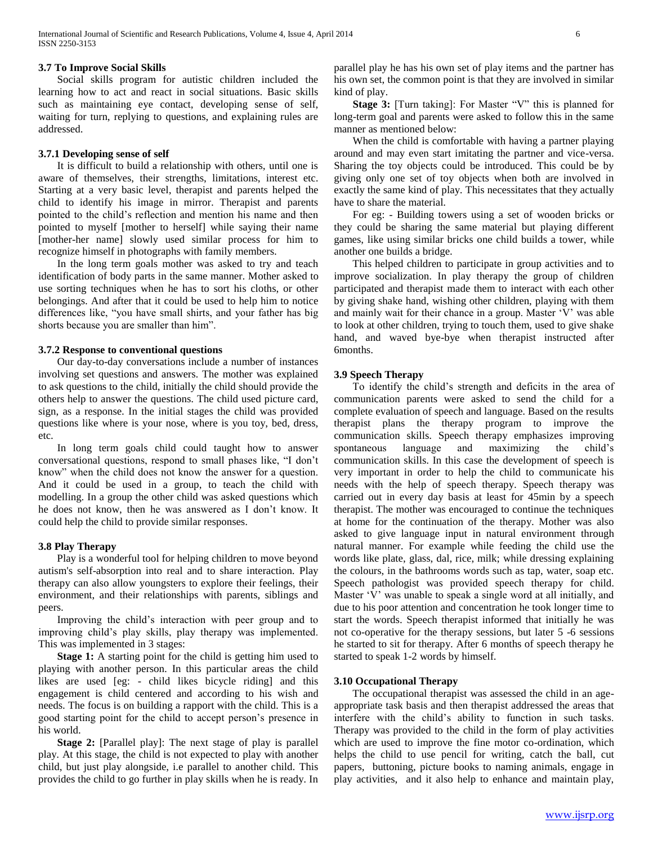## **3.7 To Improve Social Skills**

 Social skills program for autistic children included the learning how to act and react in social situations. Basic skills such as maintaining eye contact, developing sense of self, waiting for turn, replying to questions, and explaining rules are addressed.

#### **3.7.1 Developing sense of self**

 It is difficult to build a relationship with others, until one is aware of themselves, their strengths, limitations, interest etc. Starting at a very basic level, therapist and parents helped the child to identify his image in mirror. Therapist and parents pointed to the child's reflection and mention his name and then pointed to myself [mother to herself] while saying their name [mother-her name] slowly used similar process for him to recognize himself in photographs with family members.

 In the long term goals mother was asked to try and teach identification of body parts in the same manner. Mother asked to use sorting techniques when he has to sort his cloths, or other belongings. And after that it could be used to help him to notice differences like, "you have small shirts, and your father has big shorts because you are smaller than him".

# **3.7.2 Response to conventional questions**

 Our day-to-day conversations include a number of instances involving set questions and answers. The mother was explained to ask questions to the child, initially the child should provide the others help to answer the questions. The child used picture card, sign, as a response. In the initial stages the child was provided questions like where is your nose, where is you toy, bed, dress, etc.

 In long term goals child could taught how to answer conversational questions, respond to small phases like, "I don't know" when the child does not know the answer for a question. And it could be used in a group, to teach the child with modelling. In a group the other child was asked questions which he does not know, then he was answered as I don't know. It could help the child to provide similar responses.

#### **3.8 Play Therapy**

 Play is a wonderful tool for helping children to move beyond autism's self-absorption into real and to share interaction. Play therapy can also allow youngsters to explore their feelings, their environment, and their relationships with parents, siblings and peers.

 Improving the child's interaction with peer group and to improving child's play skills, play therapy was implemented. This was implemented in 3 stages:

 **Stage 1:** A starting point for the child is getting him used to playing with another person. In this particular areas the child likes are used [eg: - child likes bicycle riding] and this engagement is child centered and according to his wish and needs. The focus is on building a rapport with the child. This is a good starting point for the child to accept person's presence in his world.

 **Stage 2:** [Parallel play]: The next stage of play is parallel play. At this stage, the child is not expected to play with another child, but just play alongside, i.e parallel to another child. This provides the child to go further in play skills when he is ready. In

parallel play he has his own set of play items and the partner has his own set, the common point is that they are involved in similar kind of play.

 **Stage 3:** [Turn taking]: For Master "V" this is planned for long-term goal and parents were asked to follow this in the same manner as mentioned below:

 When the child is comfortable with having a partner playing around and may even start imitating the partner and vice-versa. Sharing the toy objects could be introduced. This could be by giving only one set of toy objects when both are involved in exactly the same kind of play. This necessitates that they actually have to share the material.

 For eg: - Building towers using a set of wooden bricks or they could be sharing the same material but playing different games, like using similar bricks one child builds a tower, while another one builds a bridge.

 This helped children to participate in group activities and to improve socialization. In play therapy the group of children participated and therapist made them to interact with each other by giving shake hand, wishing other children, playing with them and mainly wait for their chance in a group. Master 'V' was able to look at other children, trying to touch them, used to give shake hand, and waved bye-bye when therapist instructed after 6months.

#### **3.9 Speech Therapy**

 To identify the child's strength and deficits in the area of communication parents were asked to send the child for a complete evaluation of speech and language. Based on the results therapist plans the therapy program to improve the communication skills. Speech therapy emphasizes improving spontaneous language and maximizing the child's communication skills. In this case the development of speech is very important in order to help the child to communicate his needs with the help of speech therapy. Speech therapy was carried out in every day basis at least for 45min by a speech therapist. The mother was encouraged to continue the techniques at home for the continuation of the therapy. Mother was also asked to give language input in natural environment through natural manner. For example while feeding the child use the words like plate, glass, dal, rice, milk; while dressing explaining the colours, in the bathrooms words such as tap, water, soap etc. Speech pathologist was provided speech therapy for child. Master 'V' was unable to speak a single word at all initially, and due to his poor attention and concentration he took longer time to start the words. Speech therapist informed that initially he was not co-operative for the therapy sessions, but later 5 -6 sessions he started to sit for therapy. After 6 months of speech therapy he started to speak 1-2 words by himself.

#### **3.10 Occupational Therapy**

 The occupational therapist was assessed the child in an ageappropriate task basis and then therapist addressed the areas that interfere with the child's ability to function in such tasks. Therapy was provided to the child in the form of play activities which are used to improve the fine motor co-ordination, which helps the child to use pencil for writing, catch the ball, cut papers, buttoning, picture books to naming animals, engage in play activities, and it also help to enhance and maintain play,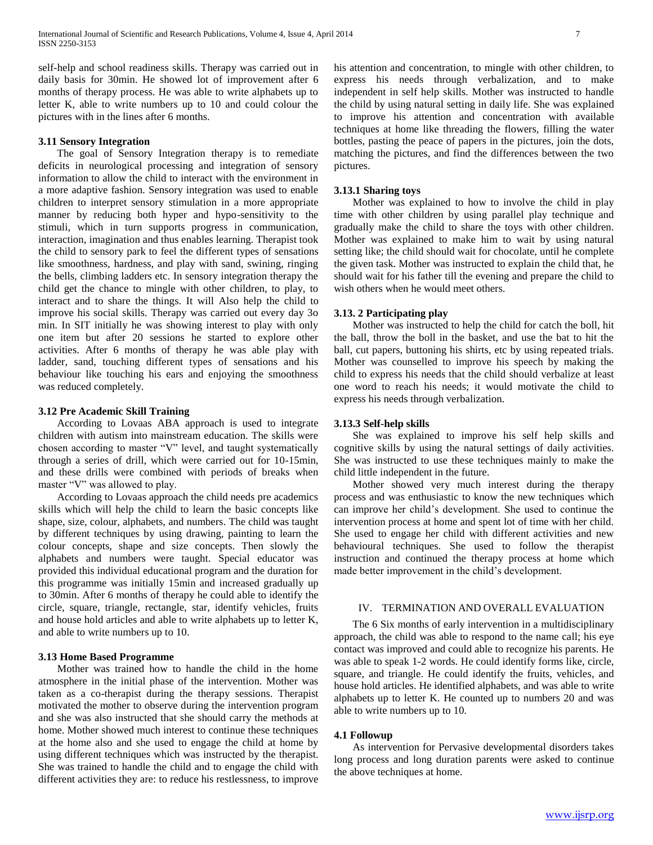self-help and school readiness skills. Therapy was carried out in daily basis for 30min. He showed lot of improvement after 6 months of therapy process. He was able to write alphabets up to letter K, able to write numbers up to 10 and could colour the pictures with in the lines after 6 months.

#### **3.11 Sensory Integration**

 The goal of Sensory Integration therapy is to remediate deficits in neurological processing and integration of sensory information to allow the child to interact with the environment in a more adaptive fashion. Sensory integration was used to enable children to interpret sensory stimulation in a more appropriate manner by reducing both hyper and hypo-sensitivity to the stimuli, which in turn supports progress in communication, interaction, imagination and thus enables learning. Therapist took the child to sensory park to feel the different types of sensations like smoothness, hardness, and play with sand, swining, ringing the bells, climbing ladders etc. In sensory integration therapy the child get the chance to mingle with other children, to play, to interact and to share the things. It will Also help the child to improve his social skills. Therapy was carried out every day 3o min. In SIT initially he was showing interest to play with only one item but after 20 sessions he started to explore other activities. After 6 months of therapy he was able play with ladder, sand, touching different types of sensations and his behaviour like touching his ears and enjoying the smoothness was reduced completely.

## **3.12 Pre Academic Skill Training**

 According to Lovaas ABA approach is used to integrate children with autism into mainstream education. The skills were chosen according to master "V" level, and taught systematically through a series of drill, which were carried out for 10-15min, and these drills were combined with periods of breaks when master "V" was allowed to play.

 According to Lovaas approach the child needs pre academics skills which will help the child to learn the basic concepts like shape, size, colour, alphabets, and numbers. The child was taught by different techniques by using drawing, painting to learn the colour concepts, shape and size concepts. Then slowly the alphabets and numbers were taught. Special educator was provided this individual educational program and the duration for this programme was initially 15min and increased gradually up to 30min. After 6 months of therapy he could able to identify the circle, square, triangle, rectangle, star, identify vehicles, fruits and house hold articles and able to write alphabets up to letter K, and able to write numbers up to 10.

## **3.13 Home Based Programme**

 Mother was trained how to handle the child in the home atmosphere in the initial phase of the intervention. Mother was taken as a co-therapist during the therapy sessions. Therapist motivated the mother to observe during the intervention program and she was also instructed that she should carry the methods at home. Mother showed much interest to continue these techniques at the home also and she used to engage the child at home by using different techniques which was instructed by the therapist. She was trained to handle the child and to engage the child with different activities they are: to reduce his restlessness, to improve

his attention and concentration, to mingle with other children, to express his needs through verbalization, and to make independent in self help skills. Mother was instructed to handle the child by using natural setting in daily life. She was explained to improve his attention and concentration with available techniques at home like threading the flowers, filling the water bottles, pasting the peace of papers in the pictures, join the dots, matching the pictures, and find the differences between the two pictures.

#### **3.13.1 Sharing toys**

 Mother was explained to how to involve the child in play time with other children by using parallel play technique and gradually make the child to share the toys with other children. Mother was explained to make him to wait by using natural setting like; the child should wait for chocolate, until he complete the given task. Mother was instructed to explain the child that, he should wait for his father till the evening and prepare the child to wish others when he would meet others.

#### **3.13. 2 Participating play**

 Mother was instructed to help the child for catch the boll, hit the ball, throw the boll in the basket, and use the bat to hit the ball, cut papers, buttoning his shirts, etc by using repeated trials. Mother was counselled to improve his speech by making the child to express his needs that the child should verbalize at least one word to reach his needs; it would motivate the child to express his needs through verbalization.

#### **3.13.3 Self-help skills**

 She was explained to improve his self help skills and cognitive skills by using the natural settings of daily activities. She was instructed to use these techniques mainly to make the child little independent in the future.

 Mother showed very much interest during the therapy process and was enthusiastic to know the new techniques which can improve her child's development. She used to continue the intervention process at home and spent lot of time with her child. She used to engage her child with different activities and new behavioural techniques. She used to follow the therapist instruction and continued the therapy process at home which made better improvement in the child's development.

## IV. TERMINATION AND OVERALL EVALUATION

 The 6 Six months of early intervention in a multidisciplinary approach, the child was able to respond to the name call; his eye contact was improved and could able to recognize his parents. He was able to speak 1-2 words. He could identify forms like, circle, square, and triangle. He could identify the fruits, vehicles, and house hold articles. He identified alphabets, and was able to write alphabets up to letter K. He counted up to numbers 20 and was able to write numbers up to 10.

### **4.1 Followup**

 As intervention for Pervasive developmental disorders takes long process and long duration parents were asked to continue the above techniques at home.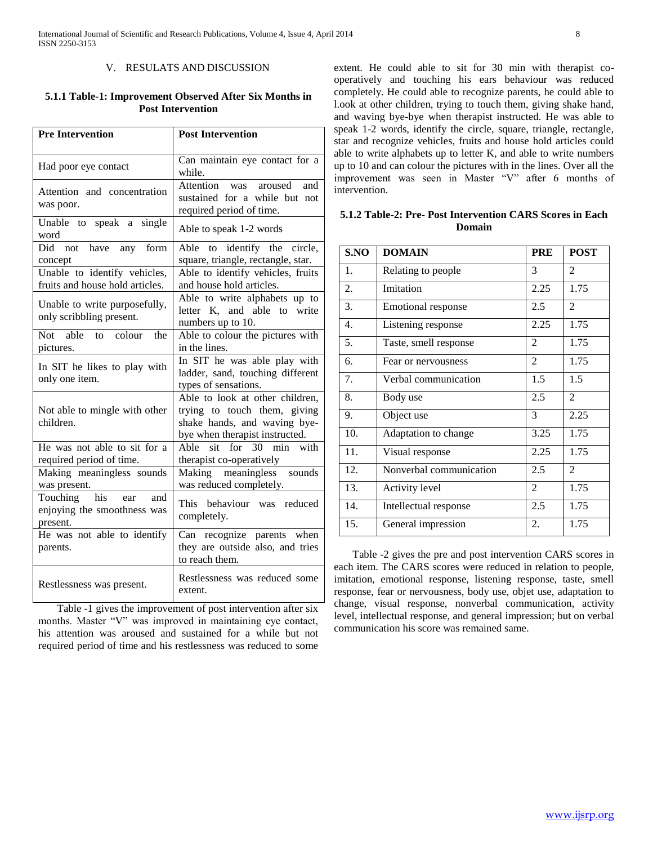## V. RESULATS AND DISCUSSION

# **5.1.1 Table-1: Improvement Observed After Six Months in Post Intervention**

| <b>Pre Intervention</b>                                                  | <b>Post Intervention</b>                                                                                                          |  |  |
|--------------------------------------------------------------------------|-----------------------------------------------------------------------------------------------------------------------------------|--|--|
| Had poor eye contact                                                     | Can maintain eye contact for a<br>while.                                                                                          |  |  |
| Attention and concentration<br>was poor.                                 | Attention<br>aroused<br>and<br>was<br>sustained for a while but not<br>required period of time.                                   |  |  |
| Unable to speak a single<br>word                                         | Able to speak 1-2 words                                                                                                           |  |  |
| <b>Did</b><br>not<br>have any form<br>concept                            | Able to identify the circle,<br>square, triangle, rectangle, star.                                                                |  |  |
| Unable to identify vehicles,<br>fruits and house hold articles.          | Able to identify vehicles, fruits<br>and house hold articles.                                                                     |  |  |
| Unable to write purposefully,<br>only scribbling present.                | Able to write alphabets up to<br>letter K, and able to write<br>numbers up to 10.                                                 |  |  |
| able<br>colour<br>the<br>Not<br>to<br>pictures.                          | Able to colour the pictures with<br>in the lines.                                                                                 |  |  |
| In SIT he likes to play with<br>only one item.                           | In SIT he was able play with<br>ladder, sand, touching different<br>types of sensations.                                          |  |  |
| Not able to mingle with other<br>children.                               | Able to look at other children,<br>trying to touch them, giving<br>shake hands, and waving bye-<br>bye when therapist instructed. |  |  |
| He was not able to sit for a<br>required period of time.                 | Able sit for 30 min<br>with<br>therapist co-operatively                                                                           |  |  |
| Making meaningless sounds<br>was present.                                | Making meaningless<br>sounds<br>was reduced completely.                                                                           |  |  |
| his<br>Touching<br>and<br>ear<br>enjoying the smoothness was<br>present. | This behaviour was reduced<br>completely.                                                                                         |  |  |
| He was not able to identify<br>parents.                                  | Can recognize parents when<br>they are outside also, and tries<br>to reach them.                                                  |  |  |
| Restlessness was present.                                                | Restlessness was reduced some<br>extent.                                                                                          |  |  |

 Table -1 gives the improvement of post intervention after six months. Master "V" was improved in maintaining eye contact, his attention was aroused and sustained for a while but not required period of time and his restlessness was reduced to some

extent. He could able to sit for 30 min with therapist cooperatively and touching his ears behaviour was reduced completely. He could able to recognize parents, he could able to l.ook at other children, trying to touch them, giving shake hand, and waving bye-bye when therapist instructed. He was able to speak 1-2 words, identify the circle, square, triangle, rectangle, star and recognize vehicles, fruits and house hold articles could able to write alphabets up to letter K, and able to write numbers up to 10 and can colour the pictures with in the lines. Over all the improvement was seen in Master "V" after 6 months of intervention.

**5.1.2 Table-2: Pre- Post Intervention CARS Scores in Each Domain**

| S.NO | <b>DOMAIN</b>             | <b>PRE</b>     | <b>POST</b>    |
|------|---------------------------|----------------|----------------|
| 1.   | Relating to people        | 3              | 2              |
| 2.   | Imitation                 | 2.25           | 1.75           |
| 3.   | <b>Emotional response</b> | 2.5            | 2              |
| 4.   | Listening response        | 2.25           | 1.75           |
| 5.   | Taste, smell response     | $\overline{2}$ | 1.75           |
| 6.   | Fear or nervousness       | $\overline{2}$ | 1.75           |
| 7.   | Verbal communication      | 1.5            | 1.5            |
| 8.   | Body use                  | 2.5            | $\mathfrak{D}$ |
| 9.   | Object use                | 3              | 2.25           |
| 10.  | Adaptation to change      | 3.25           | 1.75           |
| 11.  | Visual response           | 2.25           | 1.75           |
| 12.  | Nonverbal communication   | 2.5            | 2              |
| 13.  | Activity level            | $\overline{2}$ | 1.75           |
| 14.  | Intellectual response     | 2.5            | 1.75           |
| 15.  | General impression        | 2.             | 1.75           |

 Table -2 gives the pre and post intervention CARS scores in each item. The CARS scores were reduced in relation to people, imitation, emotional response, listening response, taste, smell response, fear or nervousness, body use, objet use, adaptation to change, visual response, nonverbal communication, activity level, intellectual response, and general impression; but on verbal communication his score was remained same.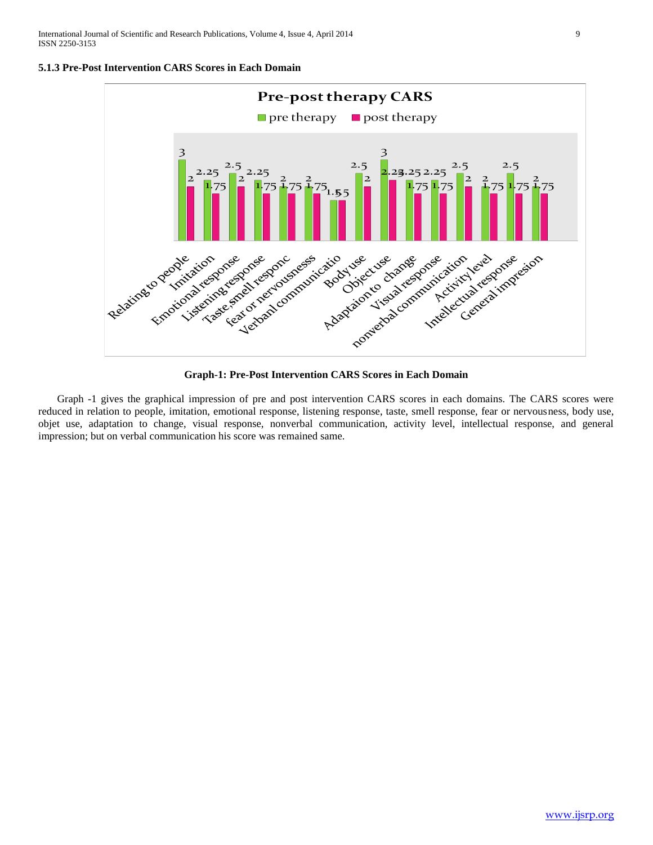



**Graph-1: Pre-Post Intervention CARS Scores in Each Domain**

 Graph -1 gives the graphical impression of pre and post intervention CARS scores in each domains. The CARS scores were reduced in relation to people, imitation, emotional response, listening response, taste, smell response, fear or nervousness, body use, objet use, adaptation to change, visual response, nonverbal communication, activity level, intellectual response, and general impression; but on verbal communication his score was remained same.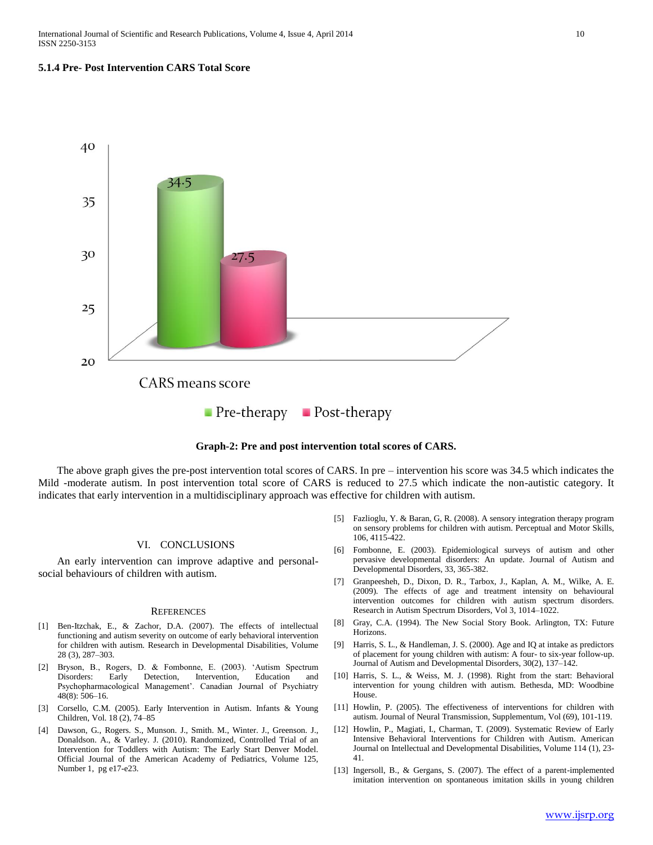#### **5.1.4 Pre- Post Intervention CARS Total Score**





 The above graph gives the pre-post intervention total scores of CARS. In pre – intervention his score was 34.5 which indicates the Mild -moderate autism. In post intervention total score of CARS is reduced to 27.5 which indicate the non-autistic category. It indicates that early intervention in a multidisciplinary approach was effective for children with autism.

## VI. CONCLUSIONS

 An early intervention can improve adaptive and personalsocial behaviours of children with autism.

#### **REFERENCES**

- [1] Ben-Itzchak, E., & Zachor, D.A. (2007). The effects of intellectual functioning and autism severity on outcome of early behavioral intervention for children with autism. Research in Developmental Disabilities, Volume 28 (3), 287–303.
- [2] Bryson, B., Rogers, D. & Fombonne, E. (2003). 'Autism Spectrum Disorders: Early Detection, Intervention, Education and Psychopharmacological Management'. Canadian Journal of Psychiatry 48(8): 506–16.
- [3] Corsello, C.M. (2005). Early Intervention in Autism. Infants & Young Children, Vol. 18 (2), 74–85
- [4] Dawson, G., Rogers. S., Munson. J., Smith. M., Winter. J., Greenson. J., Donaldson. A., & Varley. J. (2010). Randomized, Controlled Trial of an Intervention for Toddlers with Autism: The Early Start Denver Model. Official Journal of the American Academy of Pediatrics, Volume 125, Number 1, pg e17-e23.
- [5] Fazlioglu, Y. & Baran, G, R. (2008). A sensory integration therapy program on sensory problems for children with autism. Perceptual and Motor Skills, 106, 4115-422.
- [6] Fombonne, E. (2003). Epidemiological surveys of autism and other pervasive developmental disorders: An update. Journal of Autism and Developmental Disorders, 33, 365-382.
- [7] Granpeesheh, D., Dixon, D. R., Tarbox, J., Kaplan, A. M., Wilke, A. E. (2009). The effects of age and treatment intensity on behavioural intervention outcomes for children with autism spectrum disorders. Research in Autism Spectrum Disorders, Vol 3, 1014–1022.
- [8] Gray, C.A. (1994). The New Social Story Book. Arlington, TX: Future Horizons.
- [9] Harris, S. L., & Handleman, J. S. (2000). Age and IQ at intake as predictors of placement for young children with autism: A four- to six-year follow-up. Journal of Autism and Developmental Disorders, 30(2), 137–142.
- [10] Harris, S. L., & Weiss, M. J. (1998). Right from the start: Behavioral intervention for young children with autism. Bethesda, MD: Woodbine House.
- [11] Howlin, P. (2005). The effectiveness of interventions for children with autism. Journal of Neural Transmission, Supplementum, Vol (69), 101-119.
- [12] Howlin, P., Magiati, I., Charman, T. (2009). Systematic Review of Early Intensive Behavioral Interventions for Children with Autism. American Journal on Intellectual and Developmental Disabilities, Volume 114 (1), 23- 41.
- [13] Ingersoll, B., & Gergans, S. (2007). The effect of a parent-implemented imitation intervention on spontaneous imitation skills in young children